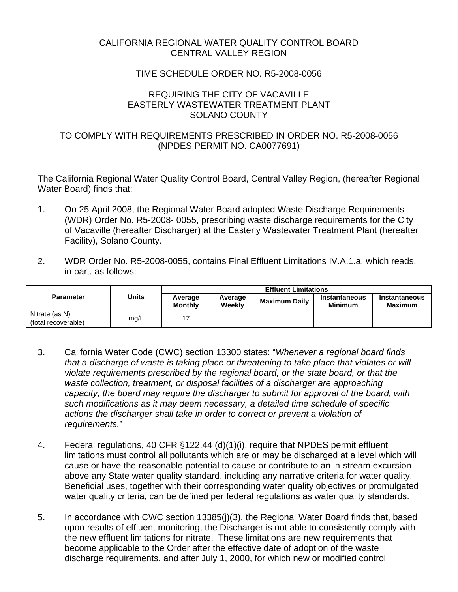## CALIFORNIA REGIONAL WATER QUALITY CONTROL BOARD CENTRAL VALLEY REGION

## TIME SCHEDULE ORDER NO. R5-2008-0056

#### REQUIRING THE CITY OF VACAVILLE EASTERLY WASTEWATER TREATMENT PLANT SOLANO COUNTY

## TO COMPLY WITH REQUIREMENTS PRESCRIBED IN ORDER NO. R5-2008-0056 (NPDES PERMIT NO. CA0077691)

The California Regional Water Quality Control Board, Central Valley Region, (hereafter Regional Water Board) finds that:

- 1. On 25 April 2008, the Regional Water Board adopted Waste Discharge Requirements (WDR) Order No. R5-2008- 0055, prescribing waste discharge requirements for the City of Vacaville (hereafter Discharger) at the Easterly Wastewater Treatment Plant (hereafter Facility), Solano County.
- 2. WDR Order No. R5-2008-0055, contains Final Effluent Limitations IV.A.1.a. which reads, in part, as follows:

|                                       |       | <b>Effluent Limitations</b> |                   |                      |                                 |                                 |  |
|---------------------------------------|-------|-----------------------------|-------------------|----------------------|---------------------------------|---------------------------------|--|
| <b>Parameter</b>                      | Units | Average<br><b>Monthly</b>   | Average<br>Weekly | <b>Maximum Daily</b> | Instantaneous<br><b>Minimum</b> | Instantaneous<br><b>Maximum</b> |  |
| Nitrate (as N)<br>(total recoverable) | mg/L  |                             |                   |                      |                                 |                                 |  |

- 3. California Water Code (CWC) section 13300 states: "*Whenever a regional board finds that a discharge of waste is taking place or threatening to take place that violates or will violate requirements prescribed by the regional board, or the state board, or that the waste collection, treatment, or disposal facilities of a discharger are approaching capacity, the board may require the discharger to submit for approval of the board, with such modifications as it may deem necessary, a detailed time schedule of specific actions the discharger shall take in order to correct or prevent a violation of requirements.*"
- 4. Federal regulations, 40 CFR §122.44 (d)(1)(i), require that NPDES permit effluent limitations must control all pollutants which are or may be discharged at a level which will cause or have the reasonable potential to cause or contribute to an in-stream excursion above any State water quality standard, including any narrative criteria for water quality. Beneficial uses, together with their corresponding water quality objectives or promulgated water quality criteria, can be defined per federal regulations as water quality standards.
- 5. In accordance with CWC section 13385(j)(3), the Regional Water Board finds that, based upon results of effluent monitoring, the Discharger is not able to consistently comply with the new effluent limitations for nitrate. These limitations are new requirements that become applicable to the Order after the effective date of adoption of the waste discharge requirements, and after July 1, 2000, for which new or modified control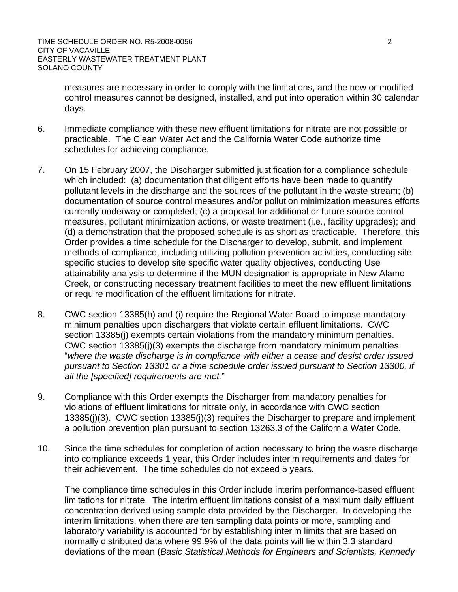measures are necessary in order to comply with the limitations, and the new or modified control measures cannot be designed, installed, and put into operation within 30 calendar days.

- 6. Immediate compliance with these new effluent limitations for nitrate are not possible or practicable. The Clean Water Act and the California Water Code authorize time schedules for achieving compliance.
- 7. On 15 February 2007, the Discharger submitted justification for a compliance schedule which included: (a) documentation that diligent efforts have been made to quantify pollutant levels in the discharge and the sources of the pollutant in the waste stream; (b) documentation of source control measures and/or pollution minimization measures efforts currently underway or completed; (c) a proposal for additional or future source control measures, pollutant minimization actions, or waste treatment (i.e., facility upgrades); and (d) a demonstration that the proposed schedule is as short as practicable. Therefore, this Order provides a time schedule for the Discharger to develop, submit, and implement methods of compliance, including utilizing pollution prevention activities, conducting site specific studies to develop site specific water quality objectives, conducting Use attainability analysis to determine if the MUN designation is appropriate in New Alamo Creek, or constructing necessary treatment facilities to meet the new effluent limitations or require modification of the effluent limitations for nitrate.
- 8. CWC section 13385(h) and (i) require the Regional Water Board to impose mandatory minimum penalties upon dischargers that violate certain effluent limitations. CWC section 13385(i) exempts certain violations from the mandatory minimum penalties. CWC section 13385(j)(3) exempts the discharge from mandatory minimum penalties "*where the waste discharge is in compliance with either a cease and desist order issued pursuant to Section 13301 or a time schedule order issued pursuant to Section 13300, if all the [specified] requirements are met.*"
- 9. Compliance with this Order exempts the Discharger from mandatory penalties for violations of effluent limitations for nitrate only, in accordance with CWC section 13385(j)(3). CWC section 13385(j)(3) requires the Discharger to prepare and implement a pollution prevention plan pursuant to section 13263.3 of the California Water Code.
- 10. Since the time schedules for completion of action necessary to bring the waste discharge into compliance exceeds 1 year, this Order includes interim requirements and dates for their achievement. The time schedules do not exceed 5 years.

The compliance time schedules in this Order include interim performance-based effluent limitations for nitrate. The interim effluent limitations consist of a maximum daily effluent concentration derived using sample data provided by the Discharger. In developing the interim limitations, when there are ten sampling data points or more, sampling and laboratory variability is accounted for by establishing interim limits that are based on normally distributed data where 99.9% of the data points will lie within 3.3 standard deviations of the mean (*Basic Statistical Methods for Engineers and Scientists, Kennedy*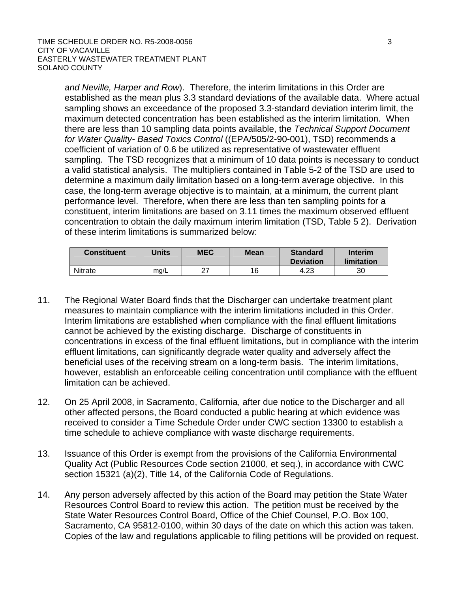#### TIME SCHEDULE ORDER NO. R5-2008-0056 3 CITY OF VACAVILLE EASTERLY WASTEWATER TREATMENT PLANT SOLANO COUNTY

*and Neville, Harper and Row*). Therefore, the interim limitations in this Order are established as the mean plus 3.3 standard deviations of the available data. Where actual sampling shows an exceedance of the proposed 3.3-standard deviation interim limit, the maximum detected concentration has been established as the interim limitation. When there are less than 10 sampling data points available, the *Technical Support Document for Water Quality- Based Toxics Control* ((EPA/505/2-90-001), TSD) recommends a coefficient of variation of 0.6 be utilized as representative of wastewater effluent sampling. The TSD recognizes that a minimum of 10 data points is necessary to conduct a valid statistical analysis. The multipliers contained in Table 5-2 of the TSD are used to determine a maximum daily limitation based on a long-term average objective. In this case, the long-term average objective is to maintain, at a minimum, the current plant performance level. Therefore, when there are less than ten sampling points for a constituent, interim limitations are based on 3.11 times the maximum observed effluent concentration to obtain the daily maximum interim limitation (TSD, Table 5 2). Derivation of these interim limitations is summarized below:

| <b>Constituent</b> | Jnits | <b>MEC</b> | <b>Mean</b> | <b>Standard</b><br><b>Deviation</b> | Interim<br>limitation |
|--------------------|-------|------------|-------------|-------------------------------------|-----------------------|
| <b>Nitrate</b>     | mq/L  | ົາ         | 16          | 4.23                                | 30                    |

- 11. The Regional Water Board finds that the Discharger can undertake treatment plant measures to maintain compliance with the interim limitations included in this Order. Interim limitations are established when compliance with the final effluent limitations cannot be achieved by the existing discharge. Discharge of constituents in concentrations in excess of the final effluent limitations, but in compliance with the interim effluent limitations, can significantly degrade water quality and adversely affect the beneficial uses of the receiving stream on a long-term basis. The interim limitations, however, establish an enforceable ceiling concentration until compliance with the effluent limitation can be achieved.
- 12. On 25 April 2008, in Sacramento, California, after due notice to the Discharger and all other affected persons, the Board conducted a public hearing at which evidence was received to consider a Time Schedule Order under CWC section 13300 to establish a time schedule to achieve compliance with waste discharge requirements.
- 13. Issuance of this Order is exempt from the provisions of the California Environmental Quality Act (Public Resources Code section 21000, et seq.), in accordance with CWC section 15321 (a)(2), Title 14, of the California Code of Regulations.
- 14. Any person adversely affected by this action of the Board may petition the State Water Resources Control Board to review this action. The petition must be received by the State Water Resources Control Board, Office of the Chief Counsel, P.O. Box 100, Sacramento, CA 95812-0100, within 30 days of the date on which this action was taken. Copies of the law and regulations applicable to filing petitions will be provided on request.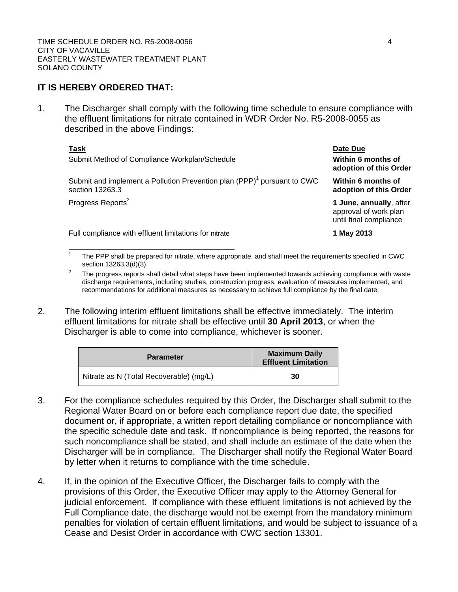# **IT IS HEREBY ORDERED THAT:**

1. The Discharger shall comply with the following time schedule to ensure compliance with the effluent limitations for nitrate contained in WDR Order No. R5-2008-0055 as described in the above Findings:

| Task<br>Submit Method of Compliance Workplan/Schedule                                                  | Date Due<br>Within 6 months of<br>adoption of this Order                   |
|--------------------------------------------------------------------------------------------------------|----------------------------------------------------------------------------|
| Submit and implement a Pollution Prevention plan (PPP) <sup>1</sup> pursuant to CWC<br>section 13263.3 | Within 6 months of<br>adoption of this Order                               |
| Progress Reports <sup>2</sup>                                                                          | 1 June, annually, after<br>approval of work plan<br>until final compliance |
| Full compliance with effluent limitations for nitrate                                                  | 1 May 2013                                                                 |

1 The PPP shall be prepared for nitrate, where appropriate, and shall meet the requirements specified in CWC section 13263.3(d)(3). <br><sup>2</sup> The progress reports shall detail what steps have been implemented towards achieving compliance with waste

- discharge requirements, including studies, construction progress, evaluation of measures implemented, and recommendations for additional measures as necessary to achieve full compliance by the final date.
- 2. The following interim effluent limitations shall be effective immediately. The interim effluent limitations for nitrate shall be effective until **30 April 2013**, or when the Discharger is able to come into compliance, whichever is sooner.

| <b>Parameter</b>                        | <b>Maximum Daily</b><br><b>Effluent Limitation</b> |  |
|-----------------------------------------|----------------------------------------------------|--|
| Nitrate as N (Total Recoverable) (mg/L) | 30                                                 |  |

- 3. For the compliance schedules required by this Order, the Discharger shall submit to the Regional Water Board on or before each compliance report due date, the specified document or, if appropriate, a written report detailing compliance or noncompliance with the specific schedule date and task. If noncompliance is being reported, the reasons for such noncompliance shall be stated, and shall include an estimate of the date when the Discharger will be in compliance. The Discharger shall notify the Regional Water Board by letter when it returns to compliance with the time schedule.
- 4. If, in the opinion of the Executive Officer, the Discharger fails to comply with the provisions of this Order, the Executive Officer may apply to the Attorney General for judicial enforcement. If compliance with these effluent limitations is not achieved by the Full Compliance date, the discharge would not be exempt from the mandatory minimum penalties for violation of certain effluent limitations, and would be subject to issuance of a Cease and Desist Order in accordance with CWC section 13301.